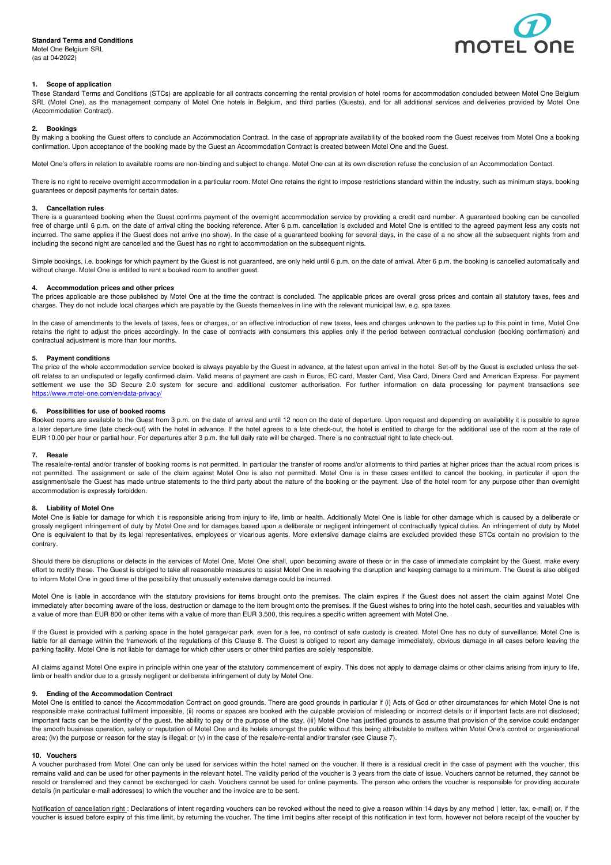# **Standard Terms and Conditions**

Motel One Belgium SRL (as at 04/2022)



## **1. Scope of application**

These Standard Terms and Conditions (STCs) are applicable for all contracts concerning the rental provision of hotel rooms for accommodation concluded between Motel One Belgium SRL (Motel One), as the management company of Motel One hotels in Belgium, and third parties (Guests), and for all additional services and deliveries provided by Motel One (Accommodation Contract).

#### **2. Bookings**

By making a booking the Guest offers to conclude an Accommodation Contract. In the case of appropriate availability of the booked room the Guest receives from Motel One a booking confirmation. Upon acceptance of the booking made by the Guest an Accommodation Contract is created between Motel One and the Guest.

Motel One's offers in relation to available rooms are non-binding and subject to change. Motel One can at its own discretion refuse the conclusion of an Accommodation Contact.

There is no right to receive overnight accommodation in a particular room. Motel One retains the right to impose restrictions standard within the industry, such as minimum stays, booking guarantees or deposit payments for certain dates.

### **3. Cancellation rules**

There is a guaranteed booking when the Guest confirms payment of the overnight accommodation service by providing a credit card number. A guaranteed booking can be cancelled free of charge until 6 p.m. on the date of arrival citing the booking reference. After 6 p.m. cancellation is excluded and Motel One is entitled to the agreed payment less any costs not incurred. The same applies if the Guest does not arrive (no show). In the case of a guaranteed booking for several days, in the case of a no show all the subsequent nights from and including the second night are cancelled and the Guest has no right to accommodation on the subsequent nights.

Simple bookings, i.e. bookings for which payment by the Guest is not guaranteed, are only held until 6 p.m. on the date of arrival. After 6 p.m. the booking is cancelled automatically and without charge. Motel One is entitled to rent a booked room to another guest.

#### **4. Accommodation prices and other prices**

The prices applicable are those published by Motel One at the time the contract is concluded. The applicable prices are overall gross prices and contain all statutory taxes, fees and charges. They do not include local charges which are payable by the Guests themselves in line with the relevant municipal law, e.g. spa taxes.

In the case of amendments to the levels of taxes, fees or charges, or an effective introduction of new taxes, fees and charges unknown to the parties up to this point in time, Motel One retains the right to adjust the prices accordingly. In the case of contracts with consumers this applies only if the period between contractual conclusion (booking confirmation) and contractual adjustment is more than four months.

#### **5. Payment conditions**

The price of the whole accommodation service booked is always payable by the Guest in advance, at the latest upon arrival in the hotel. Set-off by the Guest is excluded unless the setoff relates to an undisputed or legally confirmed claim. Valid means of payment are cash in Euros, EC card, Master Card, Visa Card, Diners Card and American Express. For payment settlement we use the 3D Secure 2.0 system for secure and additional customer authorisation. For further information on data processing for payment transactions see https://www.motel-one.com/en/data-privacy/

#### **6. Possibilities for use of booked rooms**

Booked rooms are available to the Guest from 3 p.m. on the date of arrival and until 12 noon on the date of departure. Upon request and depending on availability it is possible to agree a later departure time (late check-out) with the hotel in advance. If the hotel agrees to a late check-out, the hotel is entitled to charge for the additional use of the room at the rate of EUR 10.00 per hour or partial hour. For departures after 3 p.m. the full daily rate will be charged. There is no contractual right to late check-out.

#### **7. Resale**

The resale/re-rental and/or transfer of booking rooms is not permitted. In particular the transfer of rooms and/or allotments to third parties at higher prices than the actual room prices is not permitted. The assignment or sale of the claim against Motel One is also not permitted. Motel One is in these cases entitled to cancel the booking, in particular if upon the assignment/sale the Guest has made untrue statements to the third party about the nature of the booking or the payment. Use of the hotel room for any purpose other than overnight accommodation is expressly forbidden.

#### **8. Liability of Motel One**

Motel One is liable for damage for which it is responsible arising from injury to life, limb or health. Additionally Motel One is liable for other damage which is caused by a deliberate or grossly negligent infringement of duty by Motel One and for damages based upon a deliberate or negligent infringement of contractually typical duties. An infringement of duty by Motel One is equivalent to that by its legal representatives, employees or vicarious agents. More extensive damage claims are excluded provided these STCs contain no provision to the contrary.

Should there be disruptions or defects in the services of Motel One, Motel One shall, upon becoming aware of these or in the case of immediate complaint by the Guest, make every effort to rectify these. The Guest is obliged to take all reasonable measures to assist Motel One in resolving the disruption and keeping damage to a minimum. The Guest is also obliged to inform Motel One in good time of the possibility that unusually extensive damage could be incurred.

Motel One is liable in accordance with the statutory provisions for items brought onto the premises. The claim expires if the Guest does not assert the claim against Motel One immediately after becoming aware of the loss, destruction or damage to the item brought onto the premises. If the Guest wishes to bring into the hotel cash, securities and valuables with a value of more than EUR 800 or other items with a value of more than EUR 3,500, this requires a specific written agreement with Motel One.

If the Guest is provided with a parking space in the hotel garage/car park, even for a fee, no contract of safe custody is created. Motel One has no duty of surveillance. Motel One is liable for all damage within the framework of the regulations of this Clause 8. The Guest is obliged to report any damage immediately, obvious damage in all cases before leaving the parking facility. Motel One is not liable for damage for which other users or other third parties are solely responsible.

All claims against Motel One expire in principle within one year of the statutory commencement of expiry. This does not apply to damage claims or other claims arising from injury to life, limb or health and/or due to a grossly negligent or deliberate infringement of duty by Motel One.

#### **9. Ending of the Accommodation Contract**

Motel One is entitled to cancel the Accommodation Contract on good grounds. There are good grounds in particular if (i) Acts of God or other circumstances for which Motel One is not responsible make contractual fulfilment impossible, (ii) rooms or spaces are booked with the culpable provision of misleading or incorrect details or if important facts are not disclosed; important facts can be the identity of the guest, the ability to pay or the purpose of the stay, (iii) Motel One has justified grounds to assume that provision of the service could endanger the smooth business operation, safety or reputation of Motel One and its hotels amongst the public without this being attributable to matters within Motel One's control or organisational area; (iv) the purpose or reason for the stay is illegal; or (v) in the case of the resale/re-rental and/or transfer (see Clause 7).

#### **10. Vouchers**

A voucher purchased from Motel One can only be used for services within the hotel named on the voucher. If there is a residual credit in the case of payment with the voucher, this remains valid and can be used for other payments in the relevant hotel. The validity period of the voucher is 3 years from the date of issue. Vouchers cannot be returned, they cannot be resold or transferred and they cannot be exchanged for cash. Vouchers cannot be used for online payments. The person who orders the voucher is responsible for providing accurate details (in particular e-mail addresses) to which the voucher and the invoice are to be sent.

Notification of cancellation right : Declarations of intent regarding vouchers can be revoked without the need to give a reason within 14 days by any method (letter, fax, e-mail) or, if the voucher is issued before expiry of this time limit, by returning the voucher. The time limit begins after receipt of this notification in text form, however not before receipt of the voucher by